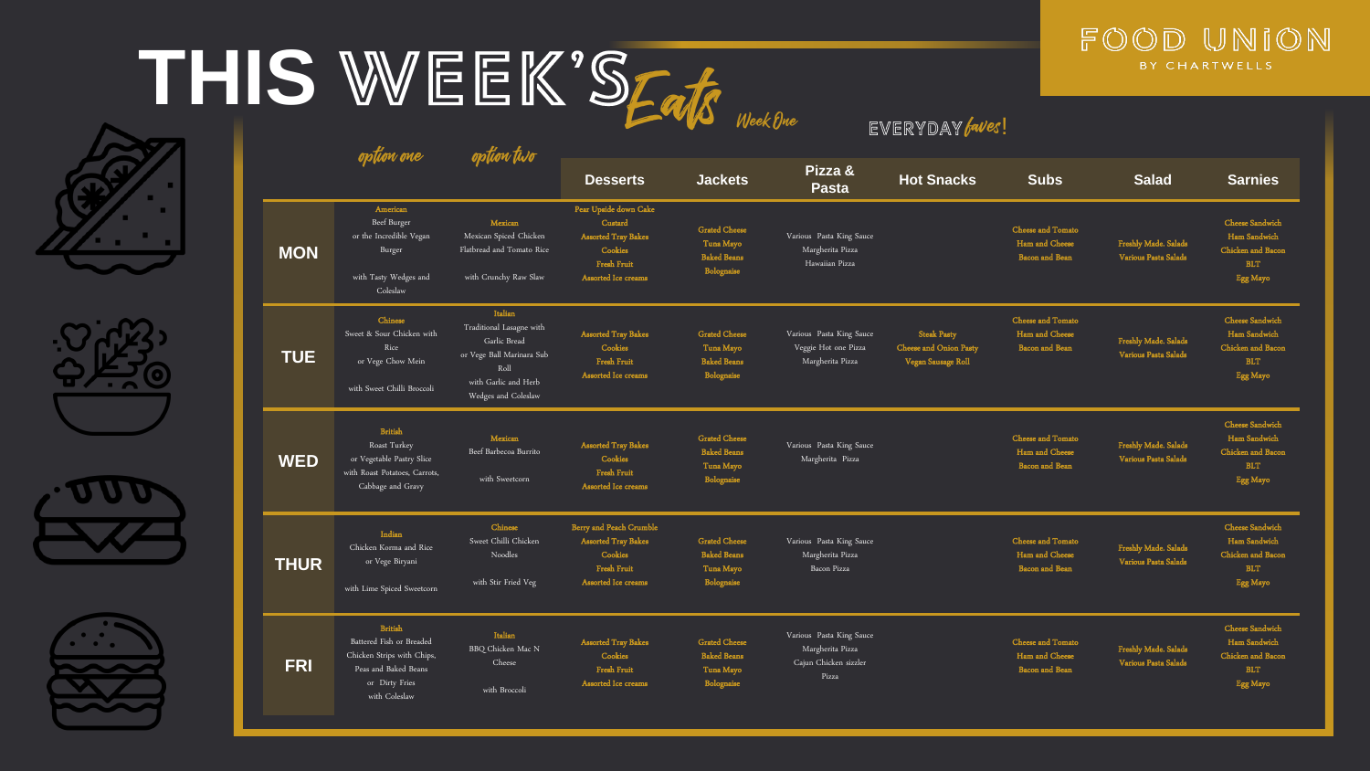## THIS WEEK'SFak











|             | option one                                                                                                                          | option two                                                                                                                              | EVERIUAI (WC):                                                                                                       |                                                                       |                                                                                |                                                                           |                                                                     |                                              |                                                                                              |  |
|-------------|-------------------------------------------------------------------------------------------------------------------------------------|-----------------------------------------------------------------------------------------------------------------------------------------|----------------------------------------------------------------------------------------------------------------------|-----------------------------------------------------------------------|--------------------------------------------------------------------------------|---------------------------------------------------------------------------|---------------------------------------------------------------------|----------------------------------------------|----------------------------------------------------------------------------------------------|--|
|             |                                                                                                                                     |                                                                                                                                         | <b>Desserts</b>                                                                                                      | <b>Jackets</b>                                                        | Pizza &<br><b>Pasta</b>                                                        | <b>Hot Snacks</b>                                                         | <b>Subs</b>                                                         | <b>Salad</b>                                 | <b>Sarnies</b>                                                                               |  |
| <b>MON</b>  | American<br>Beef Burger<br>or the Incredible Vegan<br>Burger<br>with Tasty Wedges and<br>Coleslaw                                   | Mexican<br>Mexican Spiced Chicken<br>Flatbread and Tomato Rice<br>with Crunchy Raw Slaw                                                 | Pear Upside down Cake<br>Custard<br><b>Assorted Tray Bakes</b><br>Cookies<br>Fresh Fruit<br>Assorted Ice creams      | <b>Grated Cheese</b><br>Tuna Mayo<br><b>Baked Beans</b><br>Bolognaise | Various Pasta King Sauce<br>Margherita Pizza<br>Hawaiian Pizza                 |                                                                           | <b>Cheese and Tomato</b><br>Ham and Cheese<br><b>Bacon</b> and Bean | Freshly Made. Salads<br>Various Pasta Salads | <b>Cheese Sandwich</b><br>Ham Sandwich<br>Chicken and Bacon<br><b>BLT</b><br>Egg Mayo        |  |
| <b>TUE</b>  | Chinese<br>Sweet & Sour Chicken with<br>Rice<br>or Vege Chow Mein<br>with Sweet Chilli Broccoli                                     | Italian<br>Traditional Lasagne with<br>Garlic Bread<br>or Vege Ball Marinara Sub<br>Roll<br>with Garlic and Herb<br>Wedges and Coleslaw | <b>Assorted Tray Bakes</b><br>Cookies<br>Fresh Fruit<br>Assorted Ice creams                                          | <b>Grated Cheese</b><br>Tuna Mayo<br><b>Baked Beans</b><br>Bolognaise | Various Pasta King Sauce<br>Veggie Hot one Pizza<br>Margherita Pizza           | <b>Steak Pasty</b><br><b>Cheese and Onion Pasty</b><br>Vegan Sausage Roll | <b>Cheese and Tomato</b><br>Ham and Cheese<br><b>Bacon</b> and Bean | Freshly Made. Salads<br>Various Pasta Salads | <b>Cheese Sandwich</b><br>Ham Sandwich<br>Chicken and Bacon<br><b>BLT</b><br>Egg Mayo        |  |
| <b>WED</b>  | <b>British</b><br>Roast Turkey<br>or Vegetable Pastry Slice<br>with Roast Potatoes, Carrots,<br>Cabbage and Gravy                   | Mexican<br>Beef Barbecoa Burrito<br>with Sweetcorn                                                                                      | <b>Assorted Tray Bakes</b><br>Cookies<br>Fresh Fruit<br>Assorted Ice creams                                          | <b>Grated Cheese</b><br><b>Baked Beans</b><br>Tuna Mayo<br>Bolognaise | Various Pasta King Sauce<br>Margherita Pizza                                   |                                                                           | Cheese and Tomato<br>Ham and Cheese<br><b>Bacon</b> and Bean        | Freshly Made. Salads<br>Various Pasta Salads | Cheese Sandwich<br>Ham Sandwich<br>Chicken and Bacon<br><b>BLT</b><br>Egg Mayo               |  |
| <b>THUR</b> | Indian<br>Chicken Korma and Rice<br>or Vege Biryani<br>with Lime Spiced Sweetcorn                                                   | Chinese<br>Sweet Chilli Chicken<br>Noodles<br>with Stir Fried Veg                                                                       | <b>Berry and Peach Crumble</b><br><b>Assorted Tray Bakes</b><br>Cookies<br><b>Fresh Fruit</b><br>Assorted Ice creams | <b>Grated Cheese</b><br><b>Baked Beans</b><br>Tuna Mayo<br>Bolognaise | Various Pasta King Sauce<br>Margherita Pizza<br>Bacon Pizza                    |                                                                           | Cheese and Tomato<br>Ham and Cheese<br><b>Bacon</b> and Bean        | Freshly Made. Salads<br>Various Pasta Salads | <b>Cheese Sandwich</b><br>Ham Sandwich<br><b>Chicken</b> and Bacon<br><b>BLT</b><br>Egg Mayo |  |
| <b>FRI</b>  | <b>British</b><br>Battered Fish or Breaded<br>Chicken Strips with Chips,<br>Peas and Baked Beans<br>or Dirty Fries<br>with Coleslaw | <b>Italian</b><br>BBQ Chicken Mac N<br>Cheese<br>with Broccoli                                                                          | <b>Assorted Tray Bakes</b><br>Cookies<br>Fresh Fruit<br>Assorted Ice creams                                          | <b>Grated Cheese</b><br><b>Baked Beans</b><br>Tuna Mayo<br>Bolognaise | Various Pasta King Sauce<br>Margherita Pizza<br>Cajun Chicken sizzler<br>Pizza |                                                                           | Cheese and Tomato<br>Ham and Cheese<br><b>Bacon</b> and Bean        | Freshly Made. Salads<br>Various Pasta Salads | Cheese Sandwich<br>Ham Sandwich<br>Chicken and Bacon<br><b>BLT</b><br>Egg Mayo               |  |

 $F = F \times F$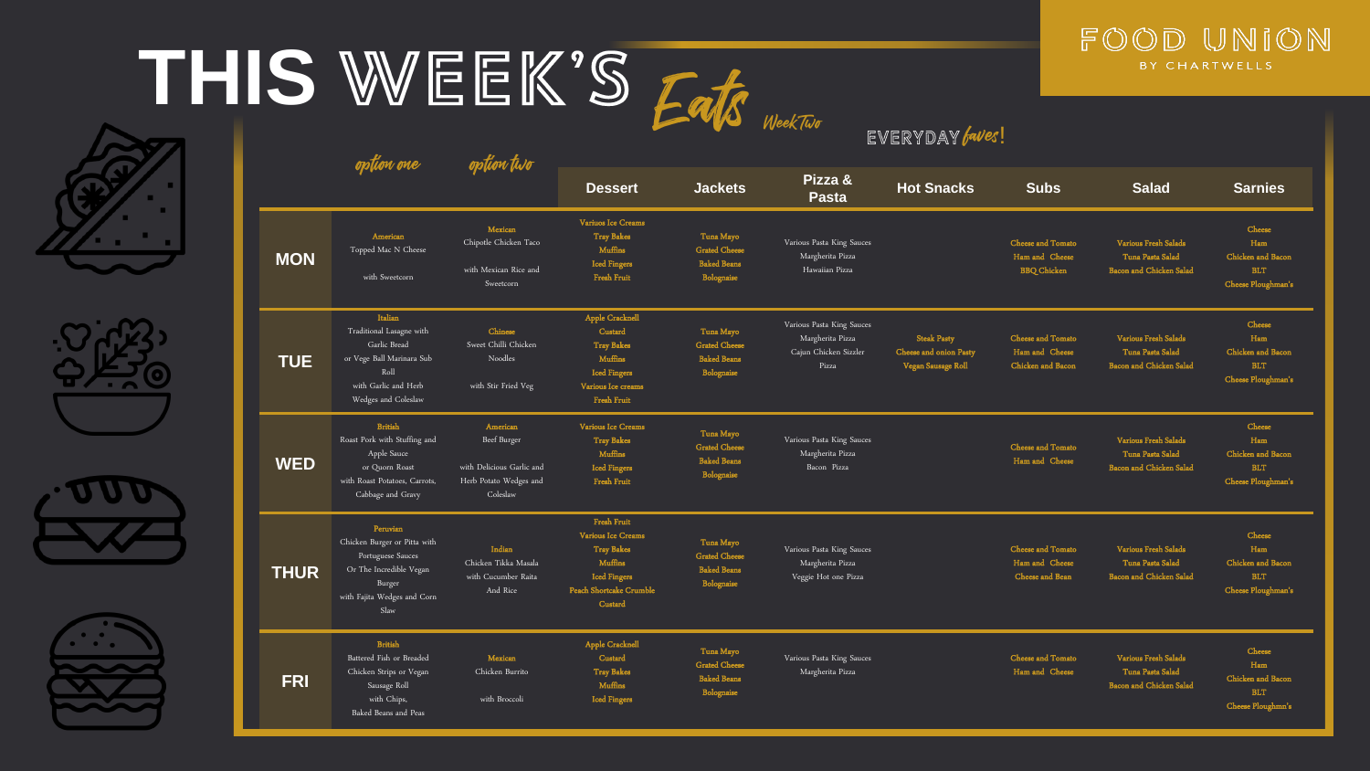## THIS WEEK'S Fate











|             |                                                                                                                                           |                                                                                            | <b>Service</b><br>WeekTwo<br>EVERYDAY faves!                                                                                   |                                                                       |                                                                                 |                                                                    |                                                                      |                                                                                   |                                                                               |  |
|-------------|-------------------------------------------------------------------------------------------------------------------------------------------|--------------------------------------------------------------------------------------------|--------------------------------------------------------------------------------------------------------------------------------|-----------------------------------------------------------------------|---------------------------------------------------------------------------------|--------------------------------------------------------------------|----------------------------------------------------------------------|-----------------------------------------------------------------------------------|-------------------------------------------------------------------------------|--|
|             | option one                                                                                                                                | opłion two                                                                                 | <b>Dessert</b>                                                                                                                 | <b>Jackets</b>                                                        | Pizza &<br><b>Pasta</b>                                                         | <b>Hot Snacks</b>                                                  | <b>Subs</b>                                                          | <b>Salad</b>                                                                      | <b>Sarnies</b>                                                                |  |
| <b>MON</b>  | American<br>Topped Mac N Cheese<br>with Sweetcorn                                                                                         | Mexican<br>Chipotle Chicken Taco<br>with Mexican Rice and<br>Sweetcorn                     | Variuos Ice Creams<br><b>Tray Bakes</b><br><b>Muffins</b><br><b>Iced Fingers</b><br><b>Fresh Fruit</b>                         | Tuna Mayo<br><b>Grated Cheese</b><br><b>Baked Beans</b><br>Bolognaise | Various Pasta King Sauces<br>Margherita Pizza<br>Hawaiian Pizza                 |                                                                    | <b>Cheese and Tomato</b><br>Ham and Cheese<br><b>BBQ</b> Chicken     | <b>Various Fresh Salads</b><br>Tuna Pasta Salad<br><b>Bacon and Chicken Salad</b> | <b>Cheese</b><br>Ham<br>Chicken and Bacon<br><b>BLT</b><br>Cheese Ploughman's |  |
| <b>TUE</b>  | Italian<br>Traditional Lasagne with<br>Garlic Bread<br>or Vege Ball Marinara Sub<br>Rol1<br>with Garlic and Herb<br>Wedges and Coleslaw   | Chinese<br>Sweet Chilli Chicken<br>Noodles<br>with Stir Fried Veg                          | Apple Cracknell<br>Custard<br><b>Tray Bakes</b><br>Muffins<br><b>Iced Fingers</b><br>Various Ice creams<br><b>Fresh Fruit</b>  | Tuna Mayo<br><b>Grated Cheese</b><br><b>Baked Beans</b><br>Bolognaise | Various Pasta King Sauces<br>Margherita Pizza<br>Cajun Chicken Sizzler<br>Pizza | <b>Steak Pasty</b><br>Cheese and onion Pasty<br>Vegan Sausage Roll | <b>Cheese and Tomato</b><br>Ham and Cheese<br>Chicken and Bacon      | <b>Various Fresh Salads</b><br>Tuna Pasta Salad<br><b>Bacon and Chicken Salad</b> | Cheese<br>Ham<br>Chicken and Bacon<br><b>BLT</b><br>Cheese Ploughman's        |  |
| <b>WED</b>  | <b>British</b><br>Roast Pork with Stuffing and<br>Apple Sauce<br>or Quorn Roast<br>with Roast Potatoes, Carrots,<br>Cabbage and Gravy     | American<br>Beef Burger<br>with Delicious Garlic and<br>Herb Potato Wedges and<br>Coleslaw | Various Ice Creams<br><b>Tray Bakes</b><br><b>Muffins</b><br><b>Iced Fingers</b><br><b>Fresh Fruit</b>                         | Tuna Mayo<br><b>Grated Cheese</b><br><b>Baked Beans</b><br>Bolognaise | Various Pasta King Sauces<br>Margherita Pizza<br>Bacon Pizza                    |                                                                    | <b>Cheese and Tomato</b><br>Ham and Cheese                           | <b>Various Fresh Salads</b><br>Tuna Pasta Salad<br><b>Bacon</b> and Chicken Salad | Cheese<br>Ham<br>Chicken and Bacon<br>BLT.<br>Cheese Ploughman's              |  |
| <b>THUR</b> | Peruvian<br>Chicken Burger or Pitta with<br>Portuguese Sauces<br>Or The Incredible Vegan<br>Burger<br>with Fajita Wedges and Corn<br>Slaw | Indian<br>Chicken Tikka Masala<br>with Cucumber Raita<br>And Rice                          | Fresh Fruit<br>Various Ice Creams<br><b>Tray Bakes</b><br>Muffins<br><b>Iced Fingers</b><br>Peach Shortcake Crumble<br>Custard | Tuna Mayo<br><b>Grated Cheese</b><br><b>Baked Beans</b><br>Bolognaise | Various Pasta King Sauces<br>Margherita Pizza<br>Veggie Hot one Pizza           |                                                                    | <b>Cheese and Tomato</b><br>Ham and Cheese<br><b>Cheese and Bean</b> | <b>Various Fresh Salads</b><br>Tuna Pasta Salad<br><b>Bacon and Chicken Salad</b> | Cheese<br>Ham<br>Chicken and Bacon<br><b>BLT</b><br>Cheese Ploughman's        |  |
| <b>FRI</b>  | <b>British</b><br>Battered Fish or Breaded<br>Chicken Strips or Vegan<br>Sausage Roll<br>with Chips,<br>Baked Beans and Peas              | Mexican<br>Chicken Burrito<br>with Broccoli                                                | Apple Cracknell<br>Custard<br><b>Tray Bakes</b><br>Muffins<br><b>Iced Fingers</b>                                              | Tuna Mayo<br><b>Grated Cheese</b><br><b>Baked Beans</b><br>Bolognaise | Various Pasta King Sauces<br>Margherita Pizza                                   |                                                                    | <b>Cheese and Tomato</b><br>Ham and Cheese                           | Various Fresh Salads<br>Tuna Pasta Salad<br><b>Bacon and Chicken Salad</b>        | Cheese<br>Ham<br>Chicken and Bacon<br><b>BLT</b><br>Cheese Ploughmn's         |  |